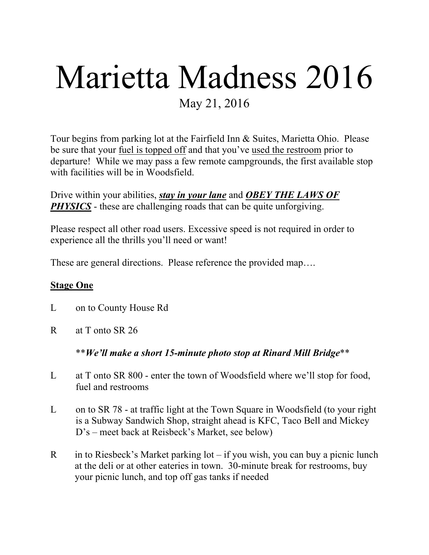# Marietta Madness 2016 May 21, 2016

Tour begins from parking lot at the Fairfield Inn & Suites, Marietta Ohio. Please be sure that your fuel is topped off and that you've used the restroom prior to departure! While we may pass a few remote campgrounds, the first available stop with facilities will be in Woodsfield.

Drive within your abilities, *stay in your lane* and *OBEY THE LAWS OF*  **PHYSICS** - these are challenging roads that can be quite unforgiving.

Please respect all other road users. Excessive speed is not required in order to experience all the thrills you'll need or want!

These are general directions. Please reference the provided map….

#### **Stage One**

- L on to County House Rd
- R at T onto SR 26

#### \*\**We'll make a short 15-minute photo stop at Rinard Mill Bridge*\*\*

- L at T onto SR 800 enter the town of Woodsfield where we'll stop for food, fuel and restrooms
- L on to SR 78 at traffic light at the Town Square in Woodsfield (to your right is a Subway Sandwich Shop, straight ahead is KFC, Taco Bell and Mickey D's – meet back at Reisbeck's Market, see below)
- R in to Riesbeck's Market parking  $\text{lot} \text{if}$  you wish, you can buy a picnic lunch at the deli or at other eateries in town. 30-minute break for restrooms, buy your picnic lunch, and top off gas tanks if needed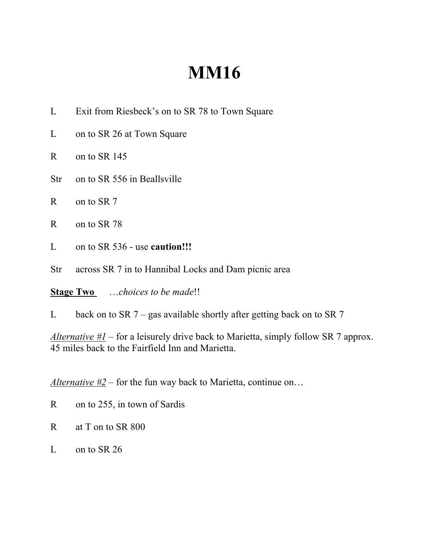## **MM16**

- L Exit from Riesbeck's on to SR 78 to Town Square
- L on to SR 26 at Town Square
- R on to SR 145
- Str on to SR 556 in Beallsville
- R on to SR 7
- R on to SR 78
- L on to SR 536 use **caution!!!**
- Str across SR 7 in to Hannibal Locks and Dam picnic area

**Stage Two** …*choices to be made*!!

L back on to SR  $7$  – gas available shortly after getting back on to SR  $7$ 

*Alternative #1* – for a leisurely drive back to Marietta, simply follow SR 7 approx. 45 miles back to the Fairfield Inn and Marietta.

*Alternative #2* – for the fun way back to Marietta, continue on…

- R on to 255, in town of Sardis
- R at T on to SR 800
- L on to SR 26